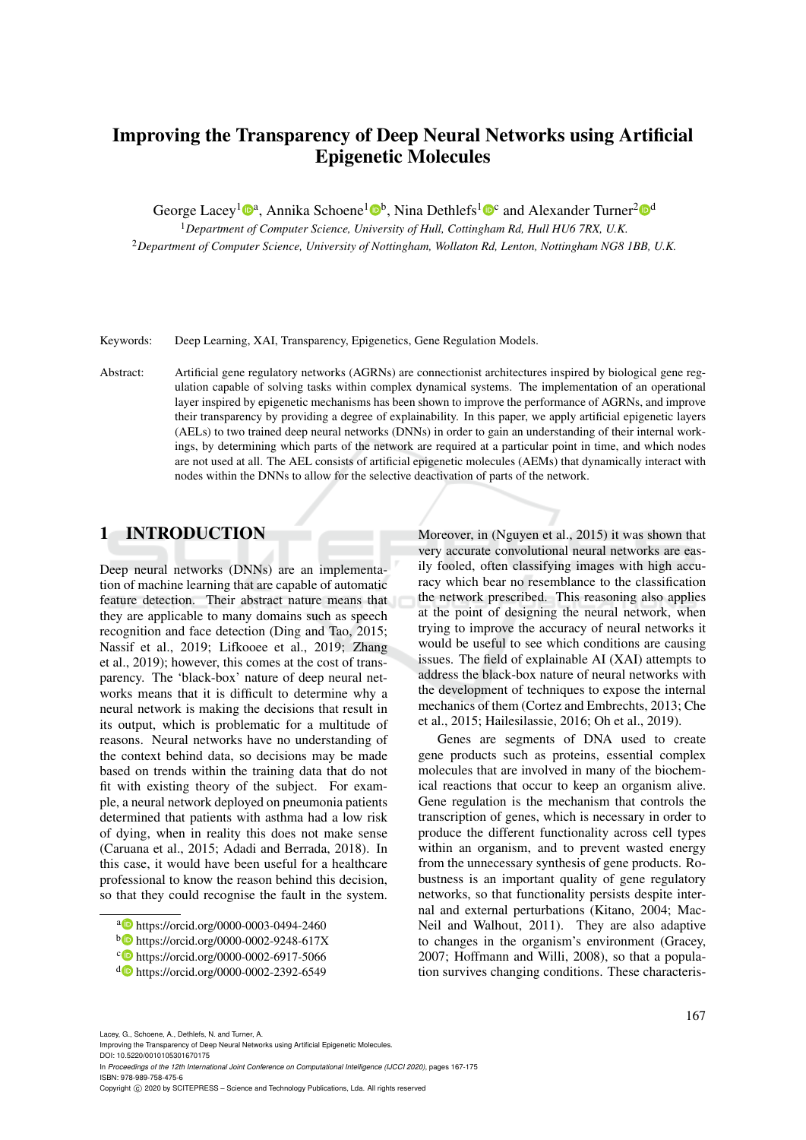# Improving the Transparency of Deep Neural Networks using Artificial Epigenetic Molecules

George Lacey<sup>1</sup><sup>®</sup>, Annika Schoene<sup>1</sup><sup>®</sup>, Nina Dethlefs<sup>1</sup><sup>®</sup> and Alexander Turner<sup>2</sup><sup>®</sup>

<sup>1</sup>*Department of Computer Science, University of Hull, Cottingham Rd, Hull HU6 7RX, U.K.* <sup>2</sup>*Department of Computer Science, University of Nottingham, Wollaton Rd, Lenton, Nottingham NG8 1BB, U.K.*

Keywords: Deep Learning, XAI, Transparency, Epigenetics, Gene Regulation Models.

Abstract: Artificial gene regulatory networks (AGRNs) are connectionist architectures inspired by biological gene regulation capable of solving tasks within complex dynamical systems. The implementation of an operational layer inspired by epigenetic mechanisms has been shown to improve the performance of AGRNs, and improve their transparency by providing a degree of explainability. In this paper, we apply artificial epigenetic layers (AELs) to two trained deep neural networks (DNNs) in order to gain an understanding of their internal workings, by determining which parts of the network are required at a particular point in time, and which nodes are not used at all. The AEL consists of artificial epigenetic molecules (AEMs) that dynamically interact with nodes within the DNNs to allow for the selective deactivation of parts of the network.

## 1 INTRODUCTION

Deep neural networks (DNNs) are an implementation of machine learning that are capable of automatic feature detection. Their abstract nature means that they are applicable to many domains such as speech recognition and face detection (Ding and Tao, 2015; Nassif et al., 2019; Lifkooee et al., 2019; Zhang et al., 2019); however, this comes at the cost of transparency. The 'black-box' nature of deep neural networks means that it is difficult to determine why a neural network is making the decisions that result in its output, which is problematic for a multitude of reasons. Neural networks have no understanding of the context behind data, so decisions may be made based on trends within the training data that do not fit with existing theory of the subject. For example, a neural network deployed on pneumonia patients determined that patients with asthma had a low risk of dying, when in reality this does not make sense (Caruana et al., 2015; Adadi and Berrada, 2018). In this case, it would have been useful for a healthcare professional to know the reason behind this decision, so that they could recognise the fault in the system.

<sup>a</sup> https://orcid.org/0000-0003-0494-2460

Moreover, in (Nguyen et al., 2015) it was shown that very accurate convolutional neural networks are easily fooled, often classifying images with high accuracy which bear no resemblance to the classification the network prescribed. This reasoning also applies at the point of designing the neural network, when trying to improve the accuracy of neural networks it would be useful to see which conditions are causing issues. The field of explainable AI (XAI) attempts to address the black-box nature of neural networks with the development of techniques to expose the internal mechanics of them (Cortez and Embrechts, 2013; Che et al., 2015; Hailesilassie, 2016; Oh et al., 2019).

Genes are segments of DNA used to create gene products such as proteins, essential complex molecules that are involved in many of the biochemical reactions that occur to keep an organism alive. Gene regulation is the mechanism that controls the transcription of genes, which is necessary in order to produce the different functionality across cell types within an organism, and to prevent wasted energy from the unnecessary synthesis of gene products. Robustness is an important quality of gene regulatory networks, so that functionality persists despite internal and external perturbations (Kitano, 2004; Mac-Neil and Walhout, 2011). They are also adaptive to changes in the organism's environment (Gracey, 2007; Hoffmann and Willi, 2008), so that a population survives changing conditions. These characteris-

Lacey, G., Schoene, A., Dethlefs, N. and Turner, A.

Improving the Transparency of Deep Neural Networks using Artificial Epigenetic Molecules.

DOI: 10.5220/0010105301670175 In *Proceedings of the 12th International Joint Conference on Computational Intelligence (IJCCI 2020)*, pages 167-175 ISBN: 978-989-758-475-6

Copyright (C) 2020 by SCITEPRESS - Science and Technology Publications, Lda. All rights reserved

<sup>b</sup> https://orcid.org/0000-0002-9248-617X

c https://orcid.org/0000-0002-6917-5066

<sup>d</sup> https://orcid.org/0000-0002-2392-6549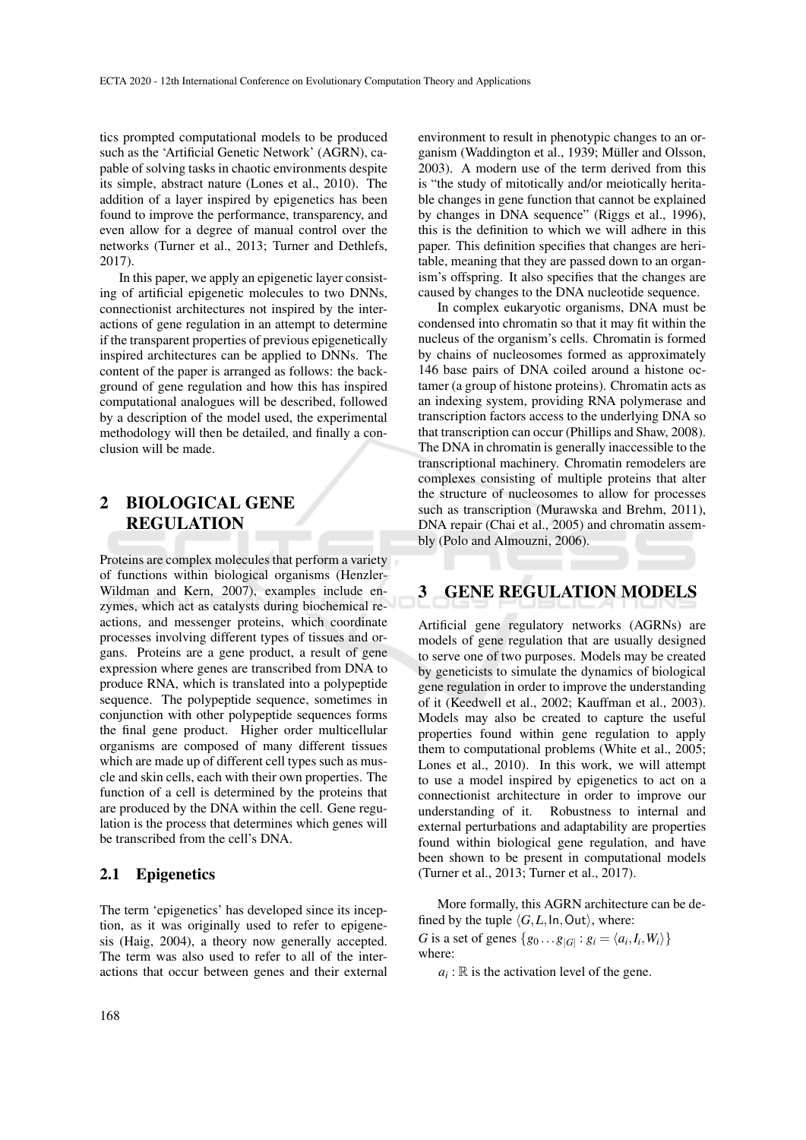tics prompted computational models to be produced such as the 'Artificial Genetic Network' (AGRN), capable of solving tasks in chaotic environments despite its simple, abstract nature (Lones et al., 2010). The addition of a layer inspired by epigenetics has been found to improve the performance, transparency, and even allow for a degree of manual control over the networks (Turner et al., 2013; Turner and Dethlefs, 2017).

In this paper, we apply an epigenetic layer consisting of artificial epigenetic molecules to two DNNs, connectionist architectures not inspired by the interactions of gene regulation in an attempt to determine if the transparent properties of previous epigenetically inspired architectures can be applied to DNNs. The content of the paper is arranged as follows: the background of gene regulation and how this has inspired computational analogues will be described, followed by a description of the model used, the experimental methodology will then be detailed, and finally a conclusion will be made.

## 2 BIOLOGICAL GENE REGULATION

Proteins are complex molecules that perform a variety of functions within biological organisms (Henzler-Wildman and Kern, 2007), examples include enzymes, which act as catalysts during biochemical reactions, and messenger proteins, which coordinate processes involving different types of tissues and organs. Proteins are a gene product, a result of gene expression where genes are transcribed from DNA to produce RNA, which is translated into a polypeptide sequence. The polypeptide sequence, sometimes in conjunction with other polypeptide sequences forms the final gene product. Higher order multicellular organisms are composed of many different tissues which are made up of different cell types such as muscle and skin cells, each with their own properties. The function of a cell is determined by the proteins that are produced by the DNA within the cell. Gene regulation is the process that determines which genes will be transcribed from the cell's DNA.

#### 2.1 Epigenetics

The term 'epigenetics' has developed since its inception, as it was originally used to refer to epigenesis (Haig, 2004), a theory now generally accepted. The term was also used to refer to all of the interactions that occur between genes and their external environment to result in phenotypic changes to an organism (Waddington et al., 1939; Müller and Olsson, 2003). A modern use of the term derived from this is "the study of mitotically and/or meiotically heritable changes in gene function that cannot be explained by changes in DNA sequence" (Riggs et al., 1996), this is the definition to which we will adhere in this paper. This definition specifies that changes are heritable, meaning that they are passed down to an organism's offspring. It also specifies that the changes are caused by changes to the DNA nucleotide sequence.

In complex eukaryotic organisms, DNA must be condensed into chromatin so that it may fit within the nucleus of the organism's cells. Chromatin is formed by chains of nucleosomes formed as approximately 146 base pairs of DNA coiled around a histone octamer (a group of histone proteins). Chromatin acts as an indexing system, providing RNA polymerase and transcription factors access to the underlying DNA so that transcription can occur (Phillips and Shaw, 2008). The DNA in chromatin is generally inaccessible to the transcriptional machinery. Chromatin remodelers are complexes consisting of multiple proteins that alter the structure of nucleosomes to allow for processes such as transcription (Murawska and Brehm, 2011), DNA repair (Chai et al., 2005) and chromatin assembly (Polo and Almouzni, 2006).

## 3 GENE REGULATION MODELS

Artificial gene regulatory networks (AGRNs) are models of gene regulation that are usually designed to serve one of two purposes. Models may be created by geneticists to simulate the dynamics of biological gene regulation in order to improve the understanding of it (Keedwell et al., 2002; Kauffman et al., 2003). Models may also be created to capture the useful properties found within gene regulation to apply them to computational problems (White et al., 2005; Lones et al., 2010). In this work, we will attempt to use a model inspired by epigenetics to act on a connectionist architecture in order to improve our understanding of it. Robustness to internal and external perturbations and adaptability are properties found within biological gene regulation, and have been shown to be present in computational models (Turner et al., 2013; Turner et al., 2017).

More formally, this AGRN architecture can be defined by the tuple  $\langle G, L, \text{In}, \text{Out} \rangle$ , where:

*G* is a set of genes  $\{g_0 \dots g_{|G|} : g_i = \langle a_i, I_i, W_i \rangle\}$ where:

 $a_i$ :  $\mathbb R$  is the activation level of the gene.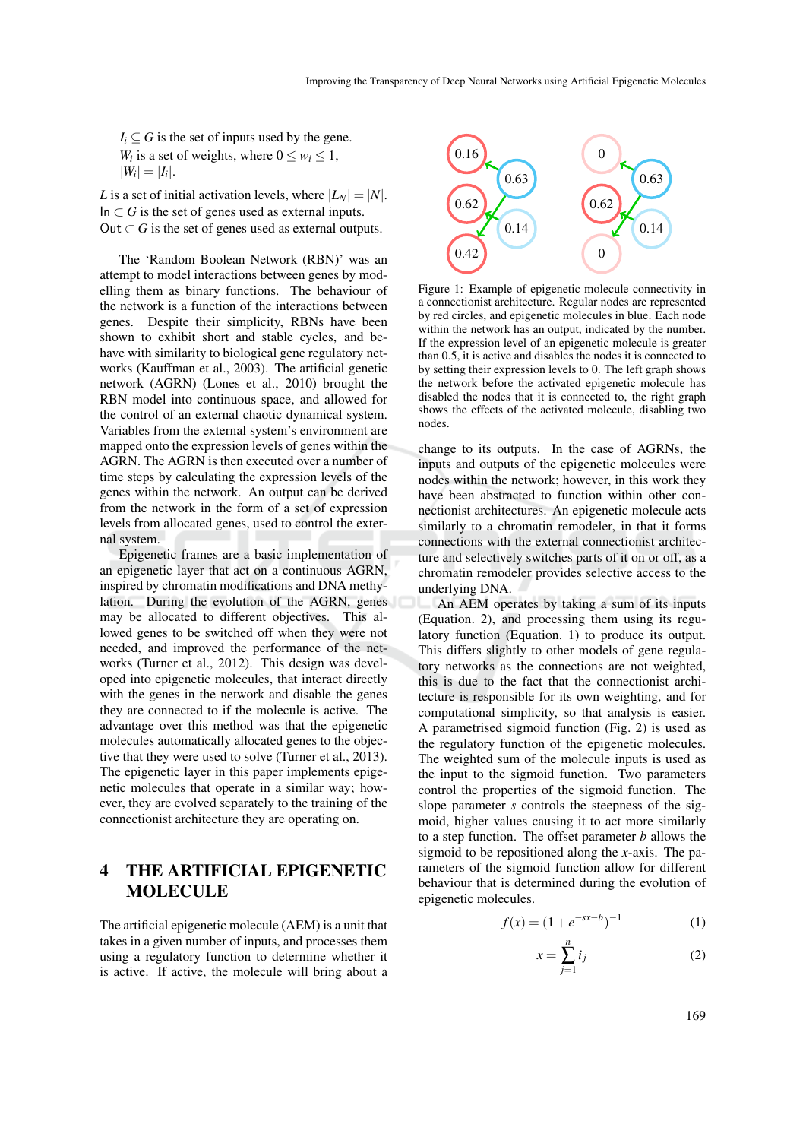$I_i \subseteq G$  is the set of inputs used by the gene. *W*<sup>*i*</sup> is a set of weights, where  $0 \leq w_i \leq 1$ ,  $|W_i| = |I_i|.$ 

*L* is a set of initial activation levels, where  $|L_N| = |N|$ . In  $\subset$  *G* is the set of genes used as external inputs. Out  $\subset$  *G* is the set of genes used as external outputs.

The 'Random Boolean Network (RBN)' was an attempt to model interactions between genes by modelling them as binary functions. The behaviour of the network is a function of the interactions between genes. Despite their simplicity, RBNs have been shown to exhibit short and stable cycles, and behave with similarity to biological gene regulatory networks (Kauffman et al., 2003). The artificial genetic network (AGRN) (Lones et al., 2010) brought the RBN model into continuous space, and allowed for the control of an external chaotic dynamical system. Variables from the external system's environment are mapped onto the expression levels of genes within the AGRN. The AGRN is then executed over a number of time steps by calculating the expression levels of the genes within the network. An output can be derived from the network in the form of a set of expression levels from allocated genes, used to control the external system.

Epigenetic frames are a basic implementation of an epigenetic layer that act on a continuous AGRN, inspired by chromatin modifications and DNA methylation. During the evolution of the AGRN, genes may be allocated to different objectives. This allowed genes to be switched off when they were not needed, and improved the performance of the networks (Turner et al., 2012). This design was developed into epigenetic molecules, that interact directly with the genes in the network and disable the genes they are connected to if the molecule is active. The advantage over this method was that the epigenetic molecules automatically allocated genes to the objective that they were used to solve (Turner et al., 2013). The epigenetic layer in this paper implements epigenetic molecules that operate in a similar way; however, they are evolved separately to the training of the connectionist architecture they are operating on.

## 4 THE ARTIFICIAL EPIGENETIC MOLECULE

The artificial epigenetic molecule (AEM) is a unit that takes in a given number of inputs, and processes them using a regulatory function to determine whether it is active. If active, the molecule will bring about a



Figure 1: Example of epigenetic molecule connectivity in a connectionist architecture. Regular nodes are represented by red circles, and epigenetic molecules in blue. Each node within the network has an output, indicated by the number. If the expression level of an epigenetic molecule is greater than 0.5, it is active and disables the nodes it is connected to by setting their expression levels to 0. The left graph shows the network before the activated epigenetic molecule has disabled the nodes that it is connected to, the right graph shows the effects of the activated molecule, disabling two nodes.

change to its outputs. In the case of AGRNs, the inputs and outputs of the epigenetic molecules were nodes within the network; however, in this work they have been abstracted to function within other connectionist architectures. An epigenetic molecule acts similarly to a chromatin remodeler, in that it forms connections with the external connectionist architecture and selectively switches parts of it on or off, as a chromatin remodeler provides selective access to the underlying DNA.

An AEM operates by taking a sum of its inputs (Equation. 2), and processing them using its regulatory function (Equation. 1) to produce its output. This differs slightly to other models of gene regulatory networks as the connections are not weighted, this is due to the fact that the connectionist architecture is responsible for its own weighting, and for computational simplicity, so that analysis is easier. A parametrised sigmoid function (Fig. 2) is used as the regulatory function of the epigenetic molecules. The weighted sum of the molecule inputs is used as the input to the sigmoid function. Two parameters control the properties of the sigmoid function. The slope parameter *s* controls the steepness of the sigmoid, higher values causing it to act more similarly to a step function. The offset parameter *b* allows the sigmoid to be repositioned along the *x*-axis. The parameters of the sigmoid function allow for different behaviour that is determined during the evolution of epigenetic molecules.

$$
f(x) = (1 + e^{-sx - b})^{-1}
$$
 (1)

$$
x = \sum_{j=1}^{n} i_j \tag{2}
$$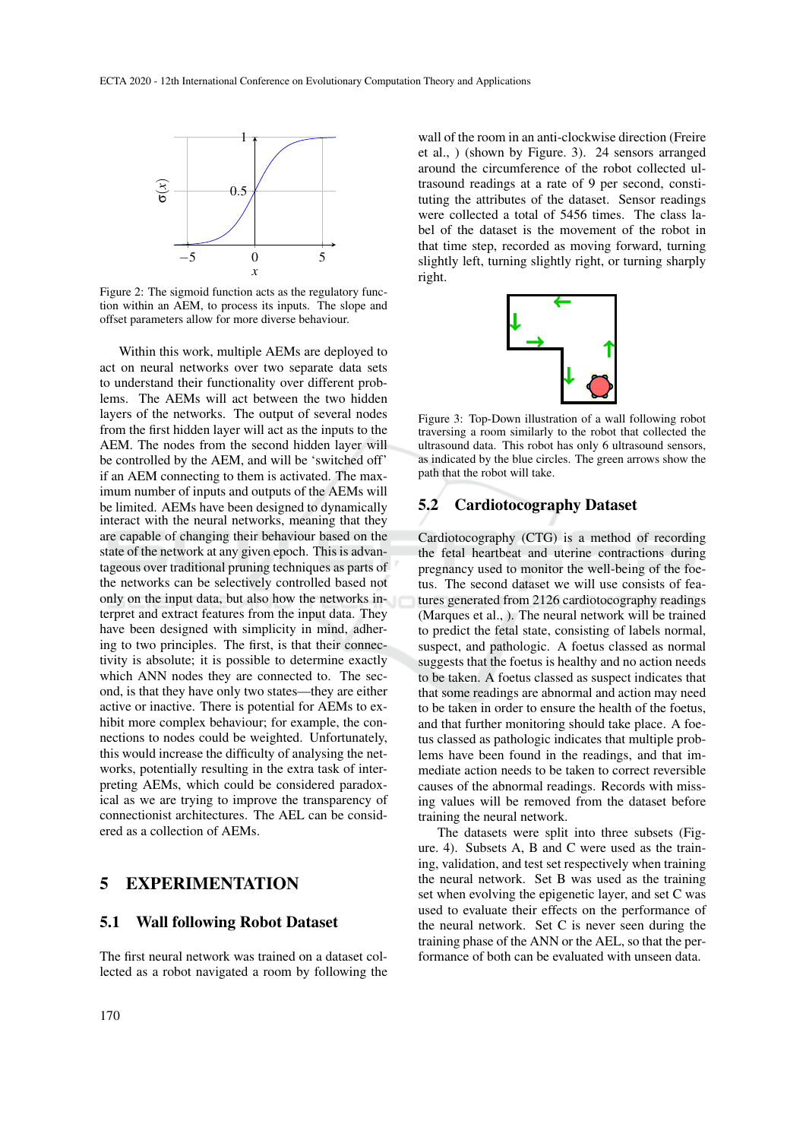

Figure 2: The sigmoid function acts as the regulatory function within an AEM, to process its inputs. The slope and offset parameters allow for more diverse behaviour.

Within this work, multiple AEMs are deployed to act on neural networks over two separate data sets to understand their functionality over different problems. The AEMs will act between the two hidden layers of the networks. The output of several nodes from the first hidden layer will act as the inputs to the AEM. The nodes from the second hidden layer will be controlled by the AEM, and will be 'switched off' if an AEM connecting to them is activated. The maximum number of inputs and outputs of the AEMs will be limited. AEMs have been designed to dynamically interact with the neural networks, meaning that they are capable of changing their behaviour based on the state of the network at any given epoch. This is advantageous over traditional pruning techniques as parts of the networks can be selectively controlled based not only on the input data, but also how the networks interpret and extract features from the input data. They have been designed with simplicity in mind, adhering to two principles. The first, is that their connectivity is absolute; it is possible to determine exactly which ANN nodes they are connected to. The second, is that they have only two states—they are either active or inactive. There is potential for AEMs to exhibit more complex behaviour; for example, the connections to nodes could be weighted. Unfortunately, this would increase the difficulty of analysing the networks, potentially resulting in the extra task of interpreting AEMs, which could be considered paradoxical as we are trying to improve the transparency of connectionist architectures. The AEL can be considered as a collection of AEMs.

### 5 EXPERIMENTATION

#### 5.1 Wall following Robot Dataset

The first neural network was trained on a dataset collected as a robot navigated a room by following the

wall of the room in an anti-clockwise direction (Freire et al., ) (shown by Figure. 3). 24 sensors arranged around the circumference of the robot collected ultrasound readings at a rate of 9 per second, constituting the attributes of the dataset. Sensor readings were collected a total of 5456 times. The class label of the dataset is the movement of the robot in that time step, recorded as moving forward, turning slightly left, turning slightly right, or turning sharply right.



Figure 3: Top-Down illustration of a wall following robot traversing a room similarly to the robot that collected the ultrasound data. This robot has only 6 ultrasound sensors, as indicated by the blue circles. The green arrows show the path that the robot will take.

#### 5.2 Cardiotocography Dataset

Cardiotocography (CTG) is a method of recording the fetal heartbeat and uterine contractions during pregnancy used to monitor the well-being of the foetus. The second dataset we will use consists of features generated from 2126 cardiotocography readings (Marques et al., ). The neural network will be trained to predict the fetal state, consisting of labels normal, suspect, and pathologic. A foetus classed as normal suggests that the foetus is healthy and no action needs to be taken. A foetus classed as suspect indicates that that some readings are abnormal and action may need to be taken in order to ensure the health of the foetus, and that further monitoring should take place. A foetus classed as pathologic indicates that multiple problems have been found in the readings, and that immediate action needs to be taken to correct reversible causes of the abnormal readings. Records with missing values will be removed from the dataset before training the neural network.

The datasets were split into three subsets (Figure. 4). Subsets A, B and C were used as the training, validation, and test set respectively when training the neural network. Set B was used as the training set when evolving the epigenetic layer, and set C was used to evaluate their effects on the performance of the neural network. Set C is never seen during the training phase of the ANN or the AEL, so that the performance of both can be evaluated with unseen data.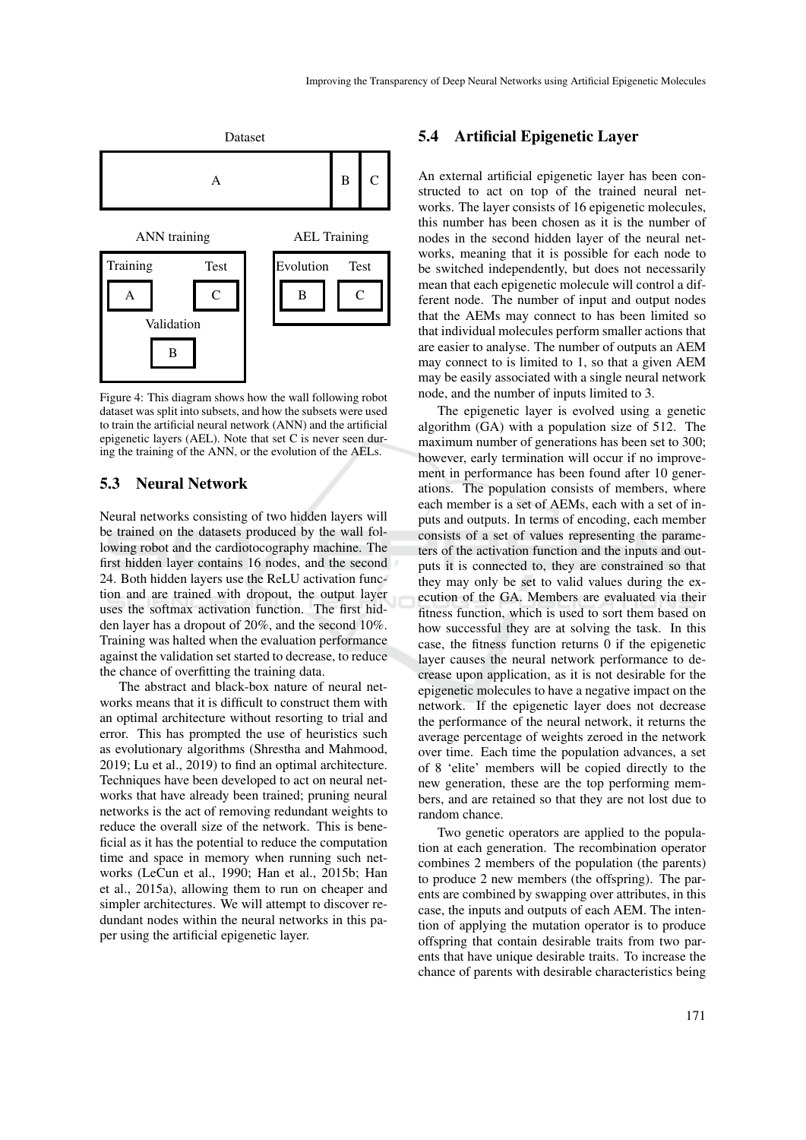

Figure 4: This diagram shows how the wall following robot dataset was split into subsets, and how the subsets were used to train the artificial neural network (ANN) and the artificial epigenetic layers (AEL). Note that set C is never seen during the training of the ANN, or the evolution of the AELs.

### 5.3 Neural Network

Neural networks consisting of two hidden layers will be trained on the datasets produced by the wall following robot and the cardiotocography machine. The first hidden layer contains 16 nodes, and the second 24. Both hidden layers use the ReLU activation function and are trained with dropout, the output layer uses the softmax activation function. The first hidden layer has a dropout of 20%, and the second 10%. Training was halted when the evaluation performance against the validation set started to decrease, to reduce the chance of overfitting the training data.

The abstract and black-box nature of neural networks means that it is difficult to construct them with an optimal architecture without resorting to trial and error. This has prompted the use of heuristics such as evolutionary algorithms (Shrestha and Mahmood, 2019; Lu et al., 2019) to find an optimal architecture. Techniques have been developed to act on neural networks that have already been trained; pruning neural networks is the act of removing redundant weights to reduce the overall size of the network. This is beneficial as it has the potential to reduce the computation time and space in memory when running such networks (LeCun et al., 1990; Han et al., 2015b; Han et al., 2015a), allowing them to run on cheaper and simpler architectures. We will attempt to discover redundant nodes within the neural networks in this paper using the artificial epigenetic layer.

#### 5.4 Artificial Epigenetic Layer

An external artificial epigenetic layer has been constructed to act on top of the trained neural networks. The layer consists of 16 epigenetic molecules, this number has been chosen as it is the number of nodes in the second hidden layer of the neural networks, meaning that it is possible for each node to be switched independently, but does not necessarily mean that each epigenetic molecule will control a different node. The number of input and output nodes that the AEMs may connect to has been limited so that individual molecules perform smaller actions that are easier to analyse. The number of outputs an AEM may connect to is limited to 1, so that a given AEM may be easily associated with a single neural network node, and the number of inputs limited to 3.

The epigenetic layer is evolved using a genetic algorithm (GA) with a population size of 512. The maximum number of generations has been set to 300; however, early termination will occur if no improvement in performance has been found after 10 generations. The population consists of members, where each member is a set of AEMs, each with a set of inputs and outputs. In terms of encoding, each member consists of a set of values representing the parameters of the activation function and the inputs and outputs it is connected to, they are constrained so that they may only be set to valid values during the execution of the GA. Members are evaluated via their fitness function, which is used to sort them based on how successful they are at solving the task. In this case, the fitness function returns 0 if the epigenetic layer causes the neural network performance to decrease upon application, as it is not desirable for the epigenetic molecules to have a negative impact on the network. If the epigenetic layer does not decrease the performance of the neural network, it returns the average percentage of weights zeroed in the network over time. Each time the population advances, a set of 8 'elite' members will be copied directly to the new generation, these are the top performing members, and are retained so that they are not lost due to random chance.

Two genetic operators are applied to the population at each generation. The recombination operator combines 2 members of the population (the parents) to produce 2 new members (the offspring). The parents are combined by swapping over attributes, in this case, the inputs and outputs of each AEM. The intention of applying the mutation operator is to produce offspring that contain desirable traits from two parents that have unique desirable traits. To increase the chance of parents with desirable characteristics being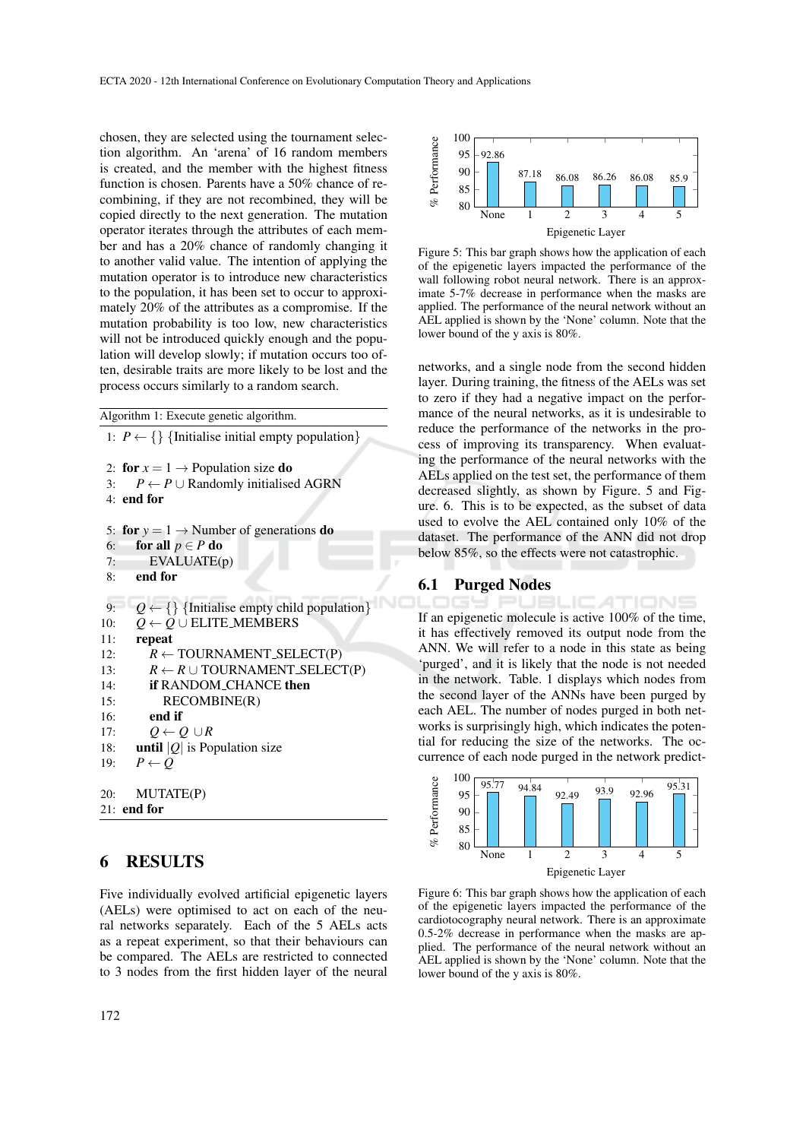chosen, they are selected using the tournament selection algorithm. An 'arena' of 16 random members is created, and the member with the highest fitness function is chosen. Parents have a 50% chance of recombining, if they are not recombined, they will be copied directly to the next generation. The mutation operator iterates through the attributes of each member and has a 20% chance of randomly changing it to another valid value. The intention of applying the mutation operator is to introduce new characteristics to the population, it has been set to occur to approximately 20% of the attributes as a compromise. If the mutation probability is too low, new characteristics will not be introduced quickly enough and the population will develop slowly; if mutation occurs too often, desirable traits are more likely to be lost and the process occurs similarly to a random search.

```
Algorithm 1: Execute genetic algorithm.
 1: P \leftarrow \{\} {Initialise initial empty population}
 2: for x = 1 \rightarrow Population size do
3: P \leftarrow P \cup Randomly initialised AGRN
4<sup>+</sup> end for
 5: for y = 1 \rightarrow Number of generations do
 6: for all p \in P do
 7: EVALUATE(p)
 8: end for
 9: Q \leftarrow \{\}\Initialise empty child population\}10: Q \leftarrow Q \cup ELITE_MEMBERS
11: repeat
12: R \leftarrow \text{TOURNAMENT\_SELECT(P)}13: R \leftarrow R \cup \text{TOURNAMENT\_SELECT(P)}14: if RANDOM CHANCE then
15: RECOMBINE(R)
16: end if
17: Q \leftarrow Q \cup R18: until |Q| is Population size
19: P \leftarrow O20: MUTATE(P)
21: end for
```
### 6 RESULTS

Five individually evolved artificial epigenetic layers (AELs) were optimised to act on each of the neural networks separately. Each of the 5 AELs acts as a repeat experiment, so that their behaviours can be compared. The AELs are restricted to connected to 3 nodes from the first hidden layer of the neural



Figure 5: This bar graph shows how the application of each of the epigenetic layers impacted the performance of the wall following robot neural network. There is an approximate 5-7% decrease in performance when the masks are applied. The performance of the neural network without an AEL applied is shown by the 'None' column. Note that the lower bound of the y axis is 80%.

networks, and a single node from the second hidden layer. During training, the fitness of the AELs was set to zero if they had a negative impact on the performance of the neural networks, as it is undesirable to reduce the performance of the networks in the process of improving its transparency. When evaluating the performance of the neural networks with the AELs applied on the test set, the performance of them decreased slightly, as shown by Figure. 5 and Figure. 6. This is to be expected, as the subset of data used to evolve the AEL contained only 10% of the dataset. The performance of the ANN did not drop below 85%, so the effects were not catastrophic.

#### 6.1 Purged Nodes

-ICATIONS If an epigenetic molecule is active 100% of the time, it has effectively removed its output node from the ANN. We will refer to a node in this state as being 'purged', and it is likely that the node is not needed in the network. Table. 1 displays which nodes from the second layer of the ANNs have been purged by each AEL. The number of nodes purged in both networks is surprisingly high, which indicates the potential for reducing the size of the networks. The occurrence of each node purged in the network predict-



Figure 6: This bar graph shows how the application of each of the epigenetic layers impacted the performance of the cardiotocography neural network. There is an approximate 0.5-2% decrease in performance when the masks are applied. The performance of the neural network without an AEL applied is shown by the 'None' column. Note that the lower bound of the y axis is 80%.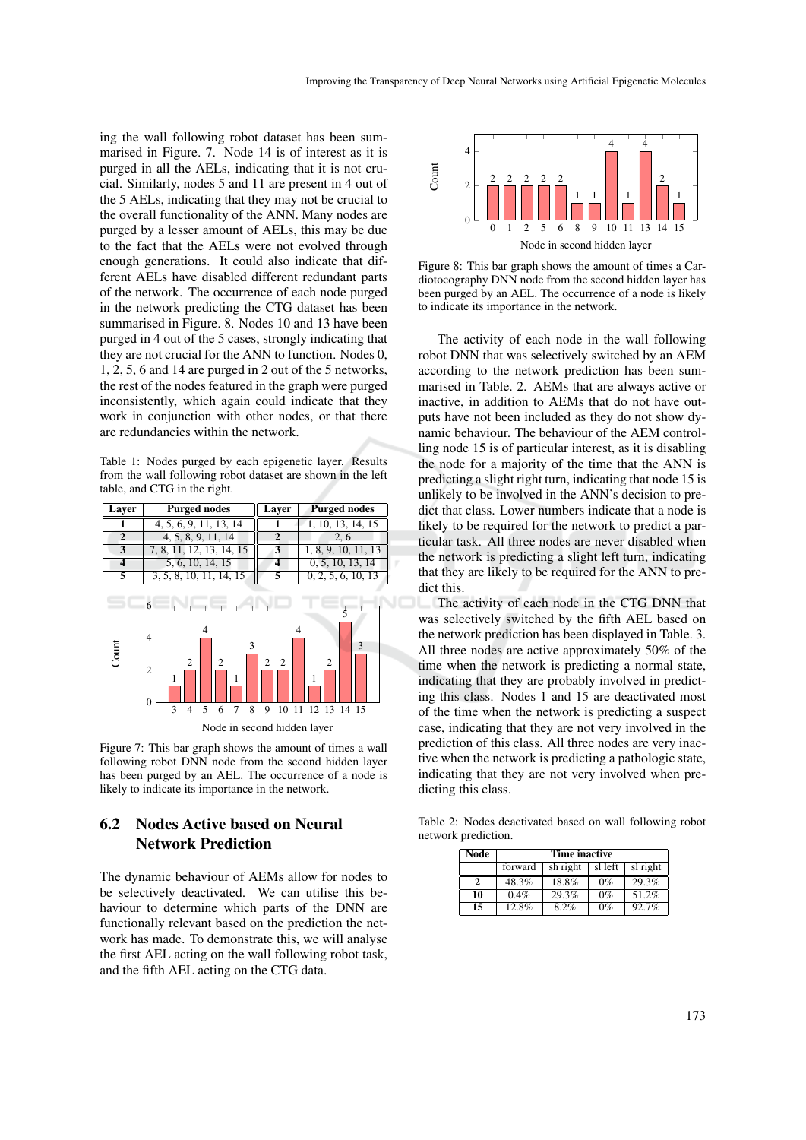ing the wall following robot dataset has been summarised in Figure. 7. Node 14 is of interest as it is purged in all the AELs, indicating that it is not crucial. Similarly, nodes 5 and 11 are present in 4 out of the 5 AELs, indicating that they may not be crucial to the overall functionality of the ANN. Many nodes are purged by a lesser amount of AELs, this may be due to the fact that the AELs were not evolved through enough generations. It could also indicate that different AELs have disabled different redundant parts of the network. The occurrence of each node purged in the network predicting the CTG dataset has been summarised in Figure. 8. Nodes 10 and 13 have been purged in 4 out of the 5 cases, strongly indicating that they are not crucial for the ANN to function. Nodes 0, 1, 2, 5, 6 and 14 are purged in 2 out of the 5 networks, the rest of the nodes featured in the graph were purged inconsistently, which again could indicate that they work in conjunction with other nodes, or that there are redundancies within the network.

Table 1: Nodes purged by each epigenetic layer. Results from the wall following robot dataset are shown in the left table, and CTG in the right.



Figure 7: This bar graph shows the amount of times a wall following robot DNN node from the second hidden layer has been purged by an AEL. The occurrence of a node is likely to indicate its importance in the network.

### 6.2 Nodes Active based on Neural Network Prediction

The dynamic behaviour of AEMs allow for nodes to be selectively deactivated. We can utilise this behaviour to determine which parts of the DNN are functionally relevant based on the prediction the network has made. To demonstrate this, we will analyse the first AEL acting on the wall following robot task, and the fifth AEL acting on the CTG data.



Figure 8: This bar graph shows the amount of times a Cardiotocography DNN node from the second hidden layer has been purged by an AEL. The occurrence of a node is likely to indicate its importance in the network.

The activity of each node in the wall following robot DNN that was selectively switched by an AEM according to the network prediction has been summarised in Table. 2. AEMs that are always active or inactive, in addition to AEMs that do not have outputs have not been included as they do not show dynamic behaviour. The behaviour of the AEM controlling node 15 is of particular interest, as it is disabling the node for a majority of the time that the ANN is predicting a slight right turn, indicating that node 15 is unlikely to be involved in the ANN's decision to predict that class. Lower numbers indicate that a node is likely to be required for the network to predict a particular task. All three nodes are never disabled when the network is predicting a slight left turn, indicating that they are likely to be required for the ANN to predict this.

The activity of each node in the CTG DNN that was selectively switched by the fifth AEL based on the network prediction has been displayed in Table. 3. All three nodes are active approximately 50% of the time when the network is predicting a normal state, indicating that they are probably involved in predicting this class. Nodes 1 and 15 are deactivated most of the time when the network is predicting a suspect case, indicating that they are not very involved in the prediction of this class. All three nodes are very inactive when the network is predicting a pathologic state, indicating that they are not very involved when predicting this class.

Table 2: Nodes deactivated based on wall following robot network prediction.

| Node | <b>Time inactive</b> |          |         |          |
|------|----------------------|----------|---------|----------|
|      | forward              | sh right | sl left | sl right |
| 2    | 48.3%                | 18.8%    | $0\%$   | 29.3%    |
| 10   | 0.4%                 | 29.3%    | $0\%$   | 51.2%    |
| 15   | $12.8\%$             | 8.2%     | $0\%$   | 92.7%    |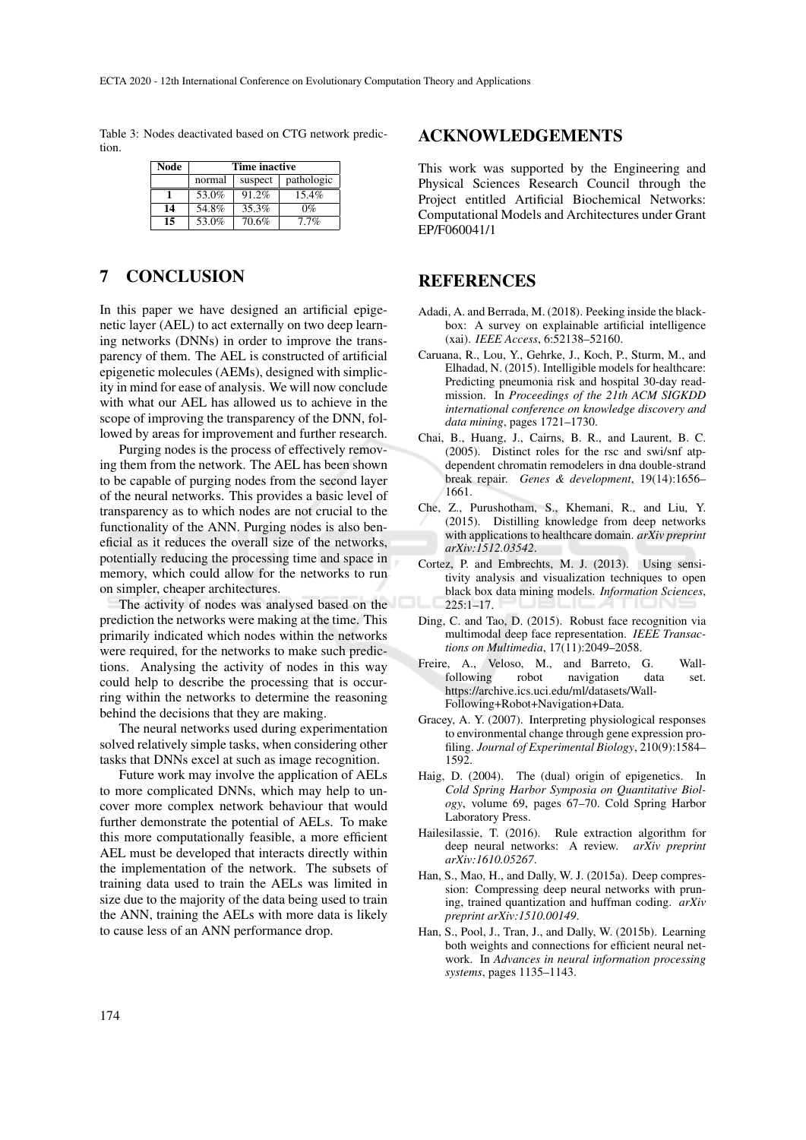Table 3: Nodes deactivated based on CTG network prediction.

| Node | <b>Time inactive</b> |         |            |  |
|------|----------------------|---------|------------|--|
|      | normal               | suspect | pathologic |  |
|      | 53.0%                | 91.2%   | 15.4%      |  |
| 14   | 54.8%                | 35.3%   | $0\%$      |  |
| 15   | 53.0%                | 70.6%   | $7.7\%$    |  |

## 7 CONCLUSION

In this paper we have designed an artificial epigenetic layer (AEL) to act externally on two deep learning networks (DNNs) in order to improve the transparency of them. The AEL is constructed of artificial epigenetic molecules (AEMs), designed with simplicity in mind for ease of analysis. We will now conclude with what our AEL has allowed us to achieve in the scope of improving the transparency of the DNN, followed by areas for improvement and further research.

Purging nodes is the process of effectively removing them from the network. The AEL has been shown to be capable of purging nodes from the second layer of the neural networks. This provides a basic level of transparency as to which nodes are not crucial to the functionality of the ANN. Purging nodes is also beneficial as it reduces the overall size of the networks, potentially reducing the processing time and space in memory, which could allow for the networks to run on simpler, cheaper architectures.

The activity of nodes was analysed based on the prediction the networks were making at the time. This primarily indicated which nodes within the networks were required, for the networks to make such predictions. Analysing the activity of nodes in this way could help to describe the processing that is occurring within the networks to determine the reasoning behind the decisions that they are making.

The neural networks used during experimentation solved relatively simple tasks, when considering other tasks that DNNs excel at such as image recognition.

Future work may involve the application of AELs to more complicated DNNs, which may help to uncover more complex network behaviour that would further demonstrate the potential of AELs. To make this more computationally feasible, a more efficient AEL must be developed that interacts directly within the implementation of the network. The subsets of training data used to train the AELs was limited in size due to the majority of the data being used to train the ANN, training the AELs with more data is likely to cause less of an ANN performance drop.

#### ACKNOWLEDGEMENTS

This work was supported by the Engineering and Physical Sciences Research Council through the Project entitled Artificial Biochemical Networks: Computational Models and Architectures under Grant EP/F060041/1

### REFERENCES

- Adadi, A. and Berrada, M. (2018). Peeking inside the blackbox: A survey on explainable artificial intelligence (xai). *IEEE Access*, 6:52138–52160.
- Caruana, R., Lou, Y., Gehrke, J., Koch, P., Sturm, M., and Elhadad, N. (2015). Intelligible models for healthcare: Predicting pneumonia risk and hospital 30-day readmission. In *Proceedings of the 21th ACM SIGKDD international conference on knowledge discovery and data mining*, pages 1721–1730.
- Chai, B., Huang, J., Cairns, B. R., and Laurent, B. C. (2005). Distinct roles for the rsc and swi/snf atpdependent chromatin remodelers in dna double-strand break repair. *Genes & development*, 19(14):1656– 1661.
- Che, Z., Purushotham, S., Khemani, R., and Liu, Y. (2015). Distilling knowledge from deep networks with applications to healthcare domain. *arXiv preprint arXiv:1512.03542*.
- Cortez, P. and Embrechts, M. J. (2013). Using sensitivity analysis and visualization techniques to open black box data mining models. *Information Sciences*,  $225:1 - 17$ .
- Ding, C. and Tao, D. (2015). Robust face recognition via multimodal deep face representation. *IEEE Transactions on Multimedia*, 17(11):2049–2058.
- Freire, A., Veloso, M., and Barreto, G. Wall-<br>following robot navigation data set. following robot navigation data set. https://archive.ics.uci.edu/ml/datasets/Wall-Following+Robot+Navigation+Data.
- Gracey, A. Y. (2007). Interpreting physiological responses to environmental change through gene expression profiling. *Journal of Experimental Biology*, 210(9):1584– 1592.
- Haig, D. (2004). The (dual) origin of epigenetics. In *Cold Spring Harbor Symposia on Quantitative Biology*, volume 69, pages 67–70. Cold Spring Harbor Laboratory Press.
- Hailesilassie, T. (2016). Rule extraction algorithm for deep neural networks: A review. *arXiv preprint arXiv:1610.05267*.
- Han, S., Mao, H., and Dally, W. J. (2015a). Deep compression: Compressing deep neural networks with pruning, trained quantization and huffman coding. *arXiv preprint arXiv:1510.00149*.
- Han, S., Pool, J., Tran, J., and Dally, W. (2015b). Learning both weights and connections for efficient neural network. In *Advances in neural information processing systems*, pages 1135–1143.